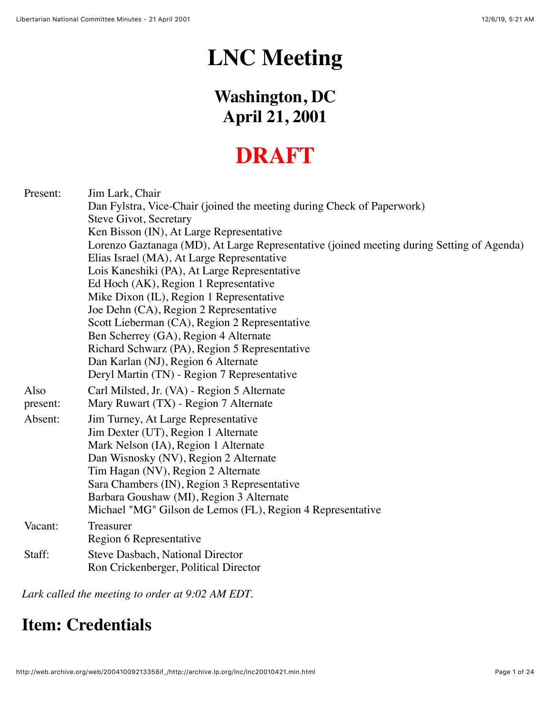# **LNC Meeting**

## **Washington, DC April 21, 2001**

## **DRAFT**

| Present: | Jim Lark, Chair                                                                           |
|----------|-------------------------------------------------------------------------------------------|
|          | Dan Fylstra, Vice-Chair (joined the meeting during Check of Paperwork)                    |
|          | Steve Givot, Secretary                                                                    |
|          | Ken Bisson (IN), At Large Representative                                                  |
|          | Lorenzo Gaztanaga (MD), At Large Representative (joined meeting during Setting of Agenda) |
|          | Elias Israel (MA), At Large Representative                                                |
|          | Lois Kaneshiki (PA), At Large Representative                                              |
|          | Ed Hoch (AK), Region 1 Representative                                                     |
|          | Mike Dixon (IL), Region 1 Representative                                                  |
|          | Joe Dehn (CA), Region 2 Representative                                                    |
|          | Scott Lieberman (CA), Region 2 Representative                                             |
|          | Ben Scherrey (GA), Region 4 Alternate                                                     |
|          | Richard Schwarz (PA), Region 5 Representative                                             |
|          | Dan Karlan (NJ), Region 6 Alternate                                                       |
|          | Deryl Martin (TN) - Region 7 Representative                                               |
| Also     | Carl Milsted, Jr. (VA) - Region 5 Alternate                                               |
| present: | Mary Ruwart (TX) - Region 7 Alternate                                                     |
| Absent:  | Jim Turney, At Large Representative                                                       |
|          | Jim Dexter (UT), Region 1 Alternate                                                       |
|          | Mark Nelson (IA), Region 1 Alternate                                                      |
|          | Dan Wisnosky (NV), Region 2 Alternate                                                     |
|          | Tim Hagan (NV), Region 2 Alternate                                                        |
|          | Sara Chambers (IN), Region 3 Representative                                               |
|          | Barbara Goushaw (MI), Region 3 Alternate                                                  |
|          | Michael "MG" Gilson de Lemos (FL), Region 4 Representative                                |
| Vacant:  | Treasurer                                                                                 |
|          | Region 6 Representative                                                                   |
| Staff:   | <b>Steve Dasbach, National Director</b>                                                   |
|          | Ron Crickenberger, Political Director                                                     |

*Lark called the meeting to order at 9:02 AM EDT.*

#### **Item: Credentials**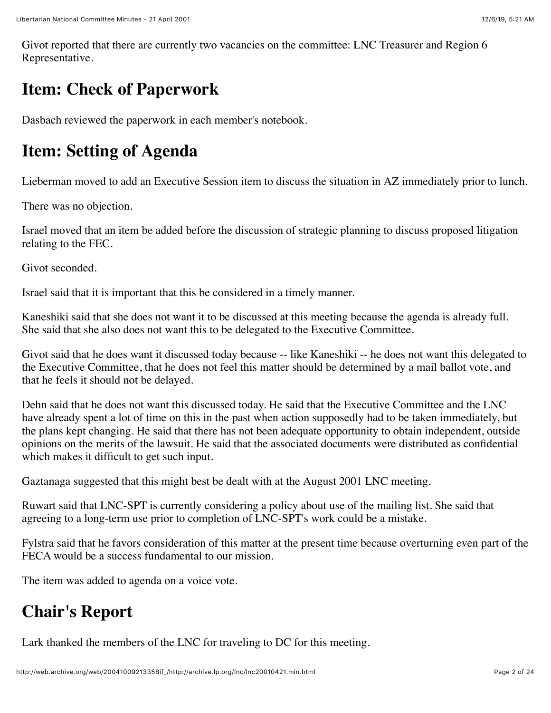Givot reported that there are currently two vacancies on the committee: LNC Treasurer and Region 6 Representative.

## **Item: Check of Paperwork**

Dasbach reviewed the paperwork in each member's notebook.

#### **Item: Setting of Agenda**

Lieberman moved to add an Executive Session item to discuss the situation in AZ immediately prior to lunch.

There was no objection.

Israel moved that an item be added before the discussion of strategic planning to discuss proposed litigation relating to the FEC.

Givot seconded.

Israel said that it is important that this be considered in a timely manner.

Kaneshiki said that she does not want it to be discussed at this meeting because the agenda is already full. She said that she also does not want this to be delegated to the Executive Committee.

Givot said that he does want it discussed today because -- like Kaneshiki -- he does not want this delegated to the Executive Committee, that he does not feel this matter should be determined by a mail ballot vote, and that he feels it should not be delayed.

Dehn said that he does not want this discussed today. He said that the Executive Committee and the LNC have already spent a lot of time on this in the past when action supposedly had to be taken immediately, but the plans kept changing. He said that there has not been adequate opportunity to obtain independent, outside opinions on the merits of the lawsuit. He said that the associated documents were distributed as confidential which makes it difficult to get such input.

Gaztanaga suggested that this might best be dealt with at the August 2001 LNC meeting.

Ruwart said that LNC-SPT is currently considering a policy about use of the mailing list. She said that agreeing to a long-term use prior to completion of LNC-SPT's work could be a mistake.

Fylstra said that he favors consideration of this matter at the present time because overturning even part of the FECA would be a success fundamental to our mission.

The item was added to agenda on a voice vote.

#### **Chair's Report**

Lark thanked the members of the LNC for traveling to DC for this meeting.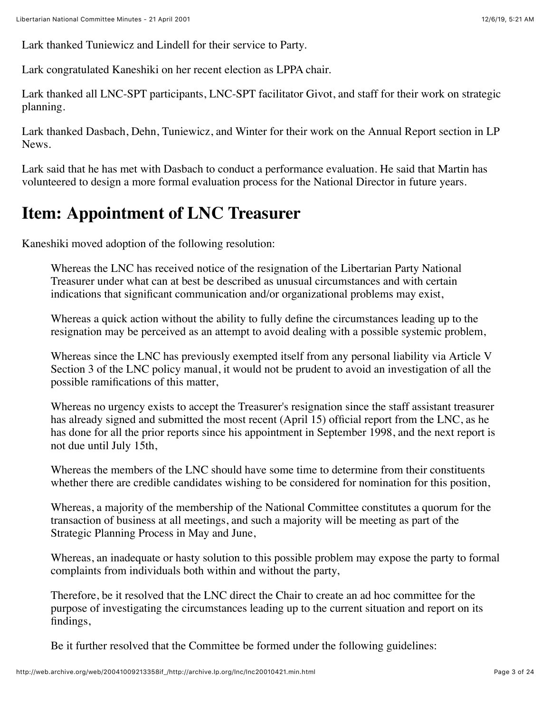Lark thanked Tuniewicz and Lindell for their service to Party.

Lark congratulated Kaneshiki on her recent election as LPPA chair.

Lark thanked all LNC-SPT participants, LNC-SPT facilitator Givot, and staff for their work on strategic planning.

Lark thanked Dasbach, Dehn, Tuniewicz, and Winter for their work on the Annual Report section in LP News.

Lark said that he has met with Dasbach to conduct a performance evaluation. He said that Martin has volunteered to design a more formal evaluation process for the National Director in future years.

#### **Item: Appointment of LNC Treasurer**

Kaneshiki moved adoption of the following resolution:

Whereas the LNC has received notice of the resignation of the Libertarian Party National Treasurer under what can at best be described as unusual circumstances and with certain indications that significant communication and/or organizational problems may exist,

Whereas a quick action without the ability to fully define the circumstances leading up to the resignation may be perceived as an attempt to avoid dealing with a possible systemic problem,

Whereas since the LNC has previously exempted itself from any personal liability via Article V Section 3 of the LNC policy manual, it would not be prudent to avoid an investigation of all the possible ramifications of this matter,

Whereas no urgency exists to accept the Treasurer's resignation since the staff assistant treasurer has already signed and submitted the most recent (April 15) official report from the LNC, as he has done for all the prior reports since his appointment in September 1998, and the next report is not due until July 15th,

Whereas the members of the LNC should have some time to determine from their constituents whether there are credible candidates wishing to be considered for nomination for this position,

Whereas, a majority of the membership of the National Committee constitutes a quorum for the transaction of business at all meetings, and such a majority will be meeting as part of the Strategic Planning Process in May and June,

Whereas, an inadequate or hasty solution to this possible problem may expose the party to formal complaints from individuals both within and without the party,

Therefore, be it resolved that the LNC direct the Chair to create an ad hoc committee for the purpose of investigating the circumstances leading up to the current situation and report on its findings,

Be it further resolved that the Committee be formed under the following guidelines: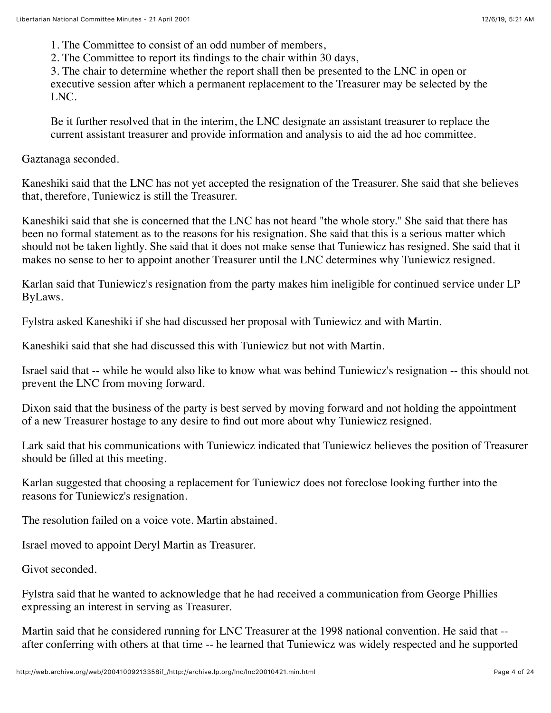1. The Committee to consist of an odd number of members,

2. The Committee to report its findings to the chair within 30 days,

3. The chair to determine whether the report shall then be presented to the LNC in open or executive session after which a permanent replacement to the Treasurer may be selected by the LNC.

Be it further resolved that in the interim, the LNC designate an assistant treasurer to replace the current assistant treasurer and provide information and analysis to aid the ad hoc committee.

Gaztanaga seconded.

Kaneshiki said that the LNC has not yet accepted the resignation of the Treasurer. She said that she believes that, therefore, Tuniewicz is still the Treasurer.

Kaneshiki said that she is concerned that the LNC has not heard "the whole story." She said that there has been no formal statement as to the reasons for his resignation. She said that this is a serious matter which should not be taken lightly. She said that it does not make sense that Tuniewicz has resigned. She said that it makes no sense to her to appoint another Treasurer until the LNC determines why Tuniewicz resigned.

Karlan said that Tuniewicz's resignation from the party makes him ineligible for continued service under LP ByLaws.

Fylstra asked Kaneshiki if she had discussed her proposal with Tuniewicz and with Martin.

Kaneshiki said that she had discussed this with Tuniewicz but not with Martin.

Israel said that -- while he would also like to know what was behind Tuniewicz's resignation -- this should not prevent the LNC from moving forward.

Dixon said that the business of the party is best served by moving forward and not holding the appointment of a new Treasurer hostage to any desire to find out more about why Tuniewicz resigned.

Lark said that his communications with Tuniewicz indicated that Tuniewicz believes the position of Treasurer should be filled at this meeting.

Karlan suggested that choosing a replacement for Tuniewicz does not foreclose looking further into the reasons for Tuniewicz's resignation.

The resolution failed on a voice vote. Martin abstained.

Israel moved to appoint Deryl Martin as Treasurer.

Givot seconded.

Fylstra said that he wanted to acknowledge that he had received a communication from George Phillies expressing an interest in serving as Treasurer.

Martin said that he considered running for LNC Treasurer at the 1998 national convention. He said that - after conferring with others at that time -- he learned that Tuniewicz was widely respected and he supported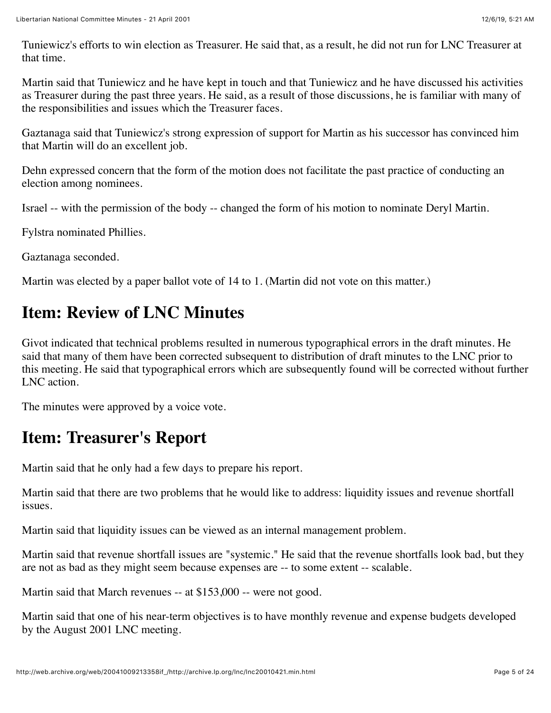Tuniewicz's efforts to win election as Treasurer. He said that, as a result, he did not run for LNC Treasurer at that time.

Martin said that Tuniewicz and he have kept in touch and that Tuniewicz and he have discussed his activities as Treasurer during the past three years. He said, as a result of those discussions, he is familiar with many of the responsibilities and issues which the Treasurer faces.

Gaztanaga said that Tuniewicz's strong expression of support for Martin as his successor has convinced him that Martin will do an excellent job.

Dehn expressed concern that the form of the motion does not facilitate the past practice of conducting an election among nominees.

Israel -- with the permission of the body -- changed the form of his motion to nominate Deryl Martin.

Fylstra nominated Phillies.

Gaztanaga seconded.

Martin was elected by a paper ballot vote of 14 to 1. (Martin did not vote on this matter.)

## **Item: Review of LNC Minutes**

Givot indicated that technical problems resulted in numerous typographical errors in the draft minutes. He said that many of them have been corrected subsequent to distribution of draft minutes to the LNC prior to this meeting. He said that typographical errors which are subsequently found will be corrected without further LNC action.

The minutes were approved by a voice vote.

#### **Item: Treasurer's Report**

Martin said that he only had a few days to prepare his report.

Martin said that there are two problems that he would like to address: liquidity issues and revenue shortfall issues.

Martin said that liquidity issues can be viewed as an internal management problem.

Martin said that revenue shortfall issues are "systemic." He said that the revenue shortfalls look bad, but they are not as bad as they might seem because expenses are -- to some extent -- scalable.

Martin said that March revenues -- at \$153,000 -- were not good.

Martin said that one of his near-term objectives is to have monthly revenue and expense budgets developed by the August 2001 LNC meeting.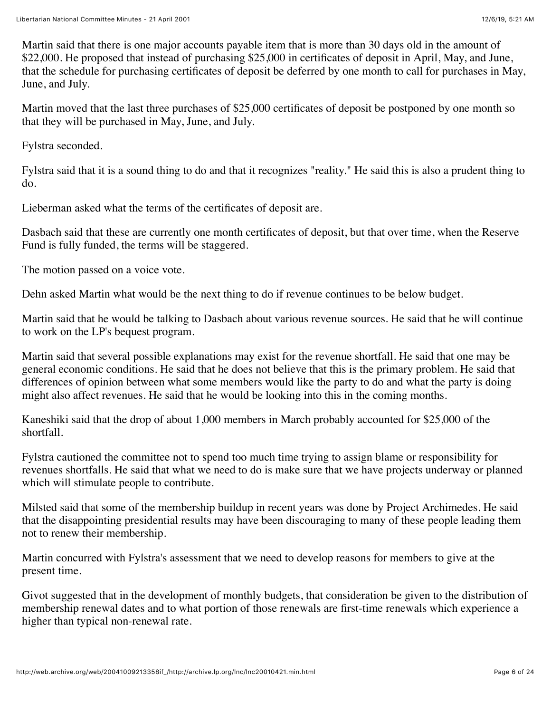Martin said that there is one major accounts payable item that is more than 30 days old in the amount of \$22,000. He proposed that instead of purchasing \$25,000 in certificates of deposit in April, May, and June, that the schedule for purchasing certificates of deposit be deferred by one month to call for purchases in May, June, and July.

Martin moved that the last three purchases of \$25,000 certificates of deposit be postponed by one month so that they will be purchased in May, June, and July.

Fylstra seconded.

Fylstra said that it is a sound thing to do and that it recognizes "reality." He said this is also a prudent thing to do.

Lieberman asked what the terms of the certificates of deposit are.

Dasbach said that these are currently one month certificates of deposit, but that over time, when the Reserve Fund is fully funded, the terms will be staggered.

The motion passed on a voice vote.

Dehn asked Martin what would be the next thing to do if revenue continues to be below budget.

Martin said that he would be talking to Dasbach about various revenue sources. He said that he will continue to work on the LP's bequest program.

Martin said that several possible explanations may exist for the revenue shortfall. He said that one may be general economic conditions. He said that he does not believe that this is the primary problem. He said that differences of opinion between what some members would like the party to do and what the party is doing might also affect revenues. He said that he would be looking into this in the coming months.

Kaneshiki said that the drop of about 1,000 members in March probably accounted for \$25,000 of the shortfall.

Fylstra cautioned the committee not to spend too much time trying to assign blame or responsibility for revenues shortfalls. He said that what we need to do is make sure that we have projects underway or planned which will stimulate people to contribute.

Milsted said that some of the membership buildup in recent years was done by Project Archimedes. He said that the disappointing presidential results may have been discouraging to many of these people leading them not to renew their membership.

Martin concurred with Fylstra's assessment that we need to develop reasons for members to give at the present time.

Givot suggested that in the development of monthly budgets, that consideration be given to the distribution of membership renewal dates and to what portion of those renewals are first-time renewals which experience a higher than typical non-renewal rate.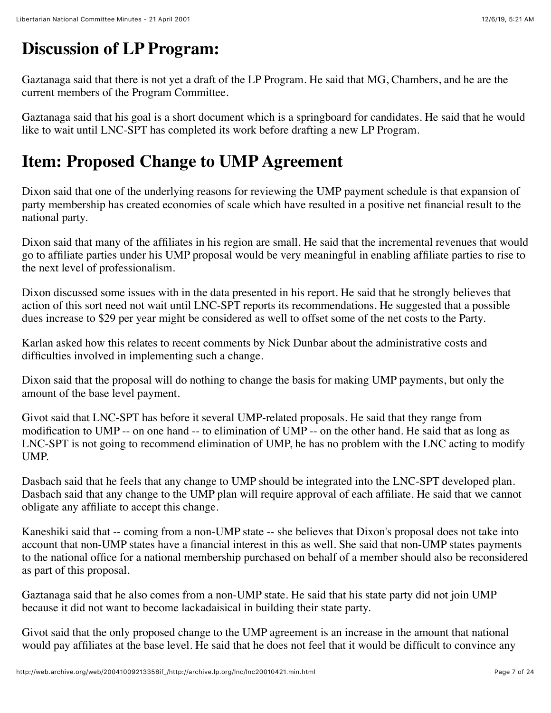## **Discussion of LP Program:**

Gaztanaga said that there is not yet a draft of the LP Program. He said that MG, Chambers, and he are the current members of the Program Committee.

Gaztanaga said that his goal is a short document which is a springboard for candidates. He said that he would like to wait until LNC-SPT has completed its work before drafting a new LP Program.

## **Item: Proposed Change to UMP Agreement**

Dixon said that one of the underlying reasons for reviewing the UMP payment schedule is that expansion of party membership has created economies of scale which have resulted in a positive net financial result to the national party.

Dixon said that many of the affiliates in his region are small. He said that the incremental revenues that would go to affiliate parties under his UMP proposal would be very meaningful in enabling affiliate parties to rise to the next level of professionalism.

Dixon discussed some issues with in the data presented in his report. He said that he strongly believes that action of this sort need not wait until LNC-SPT reports its recommendations. He suggested that a possible dues increase to \$29 per year might be considered as well to offset some of the net costs to the Party.

Karlan asked how this relates to recent comments by Nick Dunbar about the administrative costs and difficulties involved in implementing such a change.

Dixon said that the proposal will do nothing to change the basis for making UMP payments, but only the amount of the base level payment.

Givot said that LNC-SPT has before it several UMP-related proposals. He said that they range from modification to UMP -- on one hand -- to elimination of UMP -- on the other hand. He said that as long as LNC-SPT is not going to recommend elimination of UMP, he has no problem with the LNC acting to modify UMP.

Dasbach said that he feels that any change to UMP should be integrated into the LNC-SPT developed plan. Dasbach said that any change to the UMP plan will require approval of each affiliate. He said that we cannot obligate any affiliate to accept this change.

Kaneshiki said that -- coming from a non-UMP state -- she believes that Dixon's proposal does not take into account that non-UMP states have a financial interest in this as well. She said that non-UMP states payments to the national office for a national membership purchased on behalf of a member should also be reconsidered as part of this proposal.

Gaztanaga said that he also comes from a non-UMP state. He said that his state party did not join UMP because it did not want to become lackadaisical in building their state party.

Givot said that the only proposed change to the UMP agreement is an increase in the amount that national would pay affiliates at the base level. He said that he does not feel that it would be difficult to convince any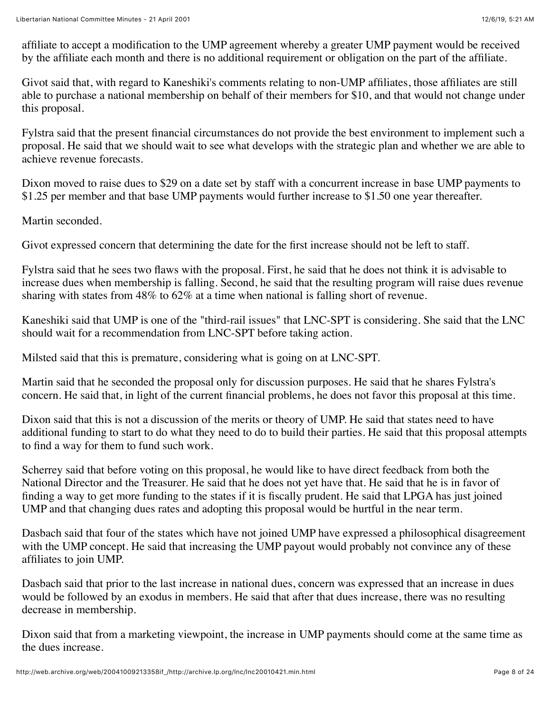affiliate to accept a modification to the UMP agreement whereby a greater UMP payment would be received by the affiliate each month and there is no additional requirement or obligation on the part of the affiliate.

Givot said that, with regard to Kaneshiki's comments relating to non-UMP affiliates, those affiliates are still able to purchase a national membership on behalf of their members for \$10, and that would not change under this proposal.

Fylstra said that the present financial circumstances do not provide the best environment to implement such a proposal. He said that we should wait to see what develops with the strategic plan and whether we are able to achieve revenue forecasts.

Dixon moved to raise dues to \$29 on a date set by staff with a concurrent increase in base UMP payments to \$1.25 per member and that base UMP payments would further increase to \$1.50 one year thereafter.

Martin seconded.

Givot expressed concern that determining the date for the first increase should not be left to staff.

Fylstra said that he sees two flaws with the proposal. First, he said that he does not think it is advisable to increase dues when membership is falling. Second, he said that the resulting program will raise dues revenue sharing with states from 48% to 62% at a time when national is falling short of revenue.

Kaneshiki said that UMP is one of the "third-rail issues" that LNC-SPT is considering. She said that the LNC should wait for a recommendation from LNC-SPT before taking action.

Milsted said that this is premature, considering what is going on at LNC-SPT.

Martin said that he seconded the proposal only for discussion purposes. He said that he shares Fylstra's concern. He said that, in light of the current financial problems, he does not favor this proposal at this time.

Dixon said that this is not a discussion of the merits or theory of UMP. He said that states need to have additional funding to start to do what they need to do to build their parties. He said that this proposal attempts to find a way for them to fund such work.

Scherrey said that before voting on this proposal, he would like to have direct feedback from both the National Director and the Treasurer. He said that he does not yet have that. He said that he is in favor of finding a way to get more funding to the states if it is fiscally prudent. He said that LPGA has just joined UMP and that changing dues rates and adopting this proposal would be hurtful in the near term.

Dasbach said that four of the states which have not joined UMP have expressed a philosophical disagreement with the UMP concept. He said that increasing the UMP payout would probably not convince any of these affiliates to join UMP.

Dasbach said that prior to the last increase in national dues, concern was expressed that an increase in dues would be followed by an exodus in members. He said that after that dues increase, there was no resulting decrease in membership.

Dixon said that from a marketing viewpoint, the increase in UMP payments should come at the same time as the dues increase.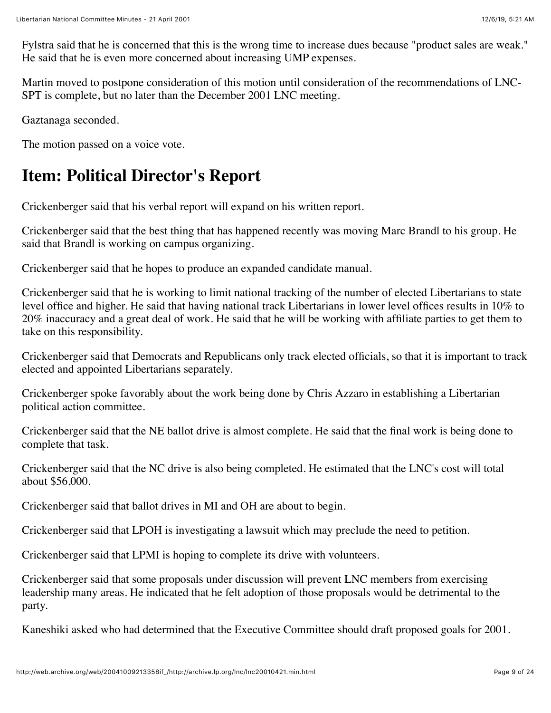Fylstra said that he is concerned that this is the wrong time to increase dues because "product sales are weak." He said that he is even more concerned about increasing UMP expenses.

Martin moved to postpone consideration of this motion until consideration of the recommendations of LNC-SPT is complete, but no later than the December 2001 LNC meeting.

Gaztanaga seconded.

The motion passed on a voice vote.

## **Item: Political Director's Report**

Crickenberger said that his verbal report will expand on his written report.

Crickenberger said that the best thing that has happened recently was moving Marc Brandl to his group. He said that Brandl is working on campus organizing.

Crickenberger said that he hopes to produce an expanded candidate manual.

Crickenberger said that he is working to limit national tracking of the number of elected Libertarians to state level office and higher. He said that having national track Libertarians in lower level offices results in 10% to 20% inaccuracy and a great deal of work. He said that he will be working with affiliate parties to get them to take on this responsibility.

Crickenberger said that Democrats and Republicans only track elected officials, so that it is important to track elected and appointed Libertarians separately.

Crickenberger spoke favorably about the work being done by Chris Azzaro in establishing a Libertarian political action committee.

Crickenberger said that the NE ballot drive is almost complete. He said that the final work is being done to complete that task.

Crickenberger said that the NC drive is also being completed. He estimated that the LNC's cost will total about \$56,000.

Crickenberger said that ballot drives in MI and OH are about to begin.

Crickenberger said that LPOH is investigating a lawsuit which may preclude the need to petition.

Crickenberger said that LPMI is hoping to complete its drive with volunteers.

Crickenberger said that some proposals under discussion will prevent LNC members from exercising leadership many areas. He indicated that he felt adoption of those proposals would be detrimental to the party.

Kaneshiki asked who had determined that the Executive Committee should draft proposed goals for 2001.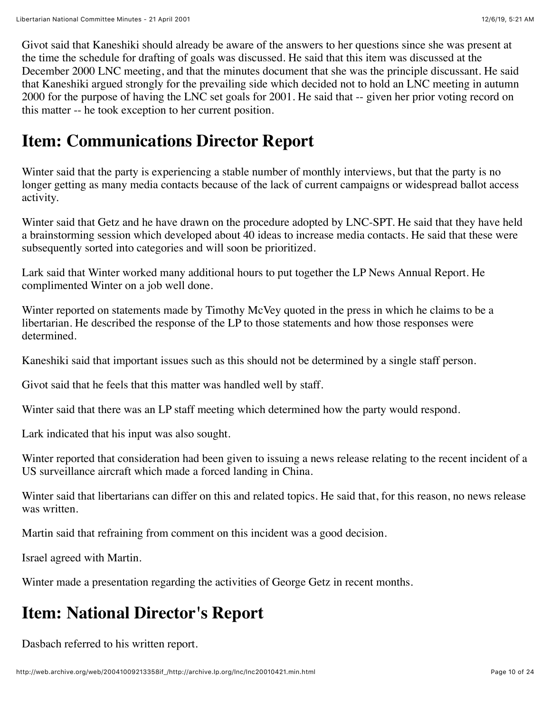Givot said that Kaneshiki should already be aware of the answers to her questions since she was present at the time the schedule for drafting of goals was discussed. He said that this item was discussed at the December 2000 LNC meeting, and that the minutes document that she was the principle discussant. He said that Kaneshiki argued strongly for the prevailing side which decided not to hold an LNC meeting in autumn 2000 for the purpose of having the LNC set goals for 2001. He said that -- given her prior voting record on this matter -- he took exception to her current position.

#### **Item: Communications Director Report**

Winter said that the party is experiencing a stable number of monthly interviews, but that the party is no longer getting as many media contacts because of the lack of current campaigns or widespread ballot access activity.

Winter said that Getz and he have drawn on the procedure adopted by LNC-SPT. He said that they have held a brainstorming session which developed about 40 ideas to increase media contacts. He said that these were subsequently sorted into categories and will soon be prioritized.

Lark said that Winter worked many additional hours to put together the LP News Annual Report. He complimented Winter on a job well done.

Winter reported on statements made by Timothy McVey quoted in the press in which he claims to be a libertarian. He described the response of the LP to those statements and how those responses were determined.

Kaneshiki said that important issues such as this should not be determined by a single staff person.

Givot said that he feels that this matter was handled well by staff.

Winter said that there was an LP staff meeting which determined how the party would respond.

Lark indicated that his input was also sought.

Winter reported that consideration had been given to issuing a news release relating to the recent incident of a US surveillance aircraft which made a forced landing in China.

Winter said that libertarians can differ on this and related topics. He said that, for this reason, no news release was written.

Martin said that refraining from comment on this incident was a good decision.

Israel agreed with Martin.

Winter made a presentation regarding the activities of George Getz in recent months.

#### **Item: National Director's Report**

Dasbach referred to his written report.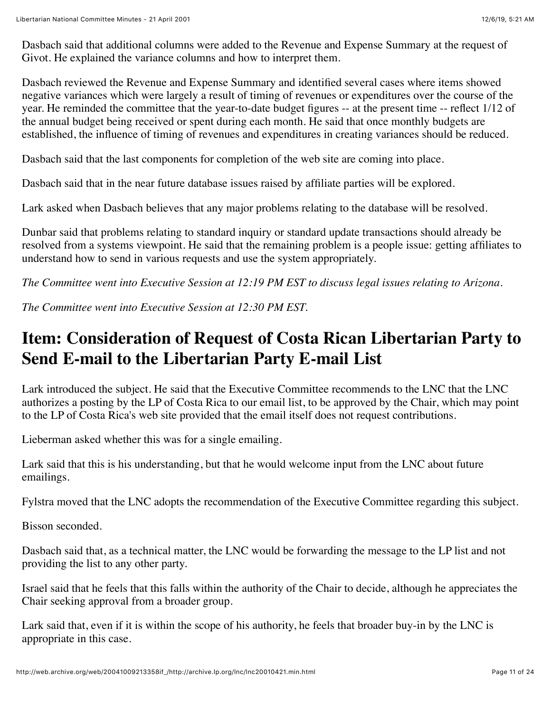Dasbach said that additional columns were added to the Revenue and Expense Summary at the request of Givot. He explained the variance columns and how to interpret them.

Dasbach reviewed the Revenue and Expense Summary and identified several cases where items showed negative variances which were largely a result of timing of revenues or expenditures over the course of the year. He reminded the committee that the year-to-date budget figures -- at the present time -- reflect 1/12 of the annual budget being received or spent during each month. He said that once monthly budgets are established, the influence of timing of revenues and expenditures in creating variances should be reduced.

Dasbach said that the last components for completion of the web site are coming into place.

Dasbach said that in the near future database issues raised by affiliate parties will be explored.

Lark asked when Dasbach believes that any major problems relating to the database will be resolved.

Dunbar said that problems relating to standard inquiry or standard update transactions should already be resolved from a systems viewpoint. He said that the remaining problem is a people issue: getting affiliates to understand how to send in various requests and use the system appropriately.

*The Committee went into Executive Session at 12:19 PM EST to discuss legal issues relating to Arizona.*

*The Committee went into Executive Session at 12:30 PM EST.*

#### **Item: Consideration of Request of Costa Rican Libertarian Party to Send E-mail to the Libertarian Party E-mail List**

Lark introduced the subject. He said that the Executive Committee recommends to the LNC that the LNC authorizes a posting by the LP of Costa Rica to our email list, to be approved by the Chair, which may point to the LP of Costa Rica's web site provided that the email itself does not request contributions.

Lieberman asked whether this was for a single emailing.

Lark said that this is his understanding, but that he would welcome input from the LNC about future emailings.

Fylstra moved that the LNC adopts the recommendation of the Executive Committee regarding this subject.

Bisson seconded.

Dasbach said that, as a technical matter, the LNC would be forwarding the message to the LP list and not providing the list to any other party.

Israel said that he feels that this falls within the authority of the Chair to decide, although he appreciates the Chair seeking approval from a broader group.

Lark said that, even if it is within the scope of his authority, he feels that broader buy-in by the LNC is appropriate in this case.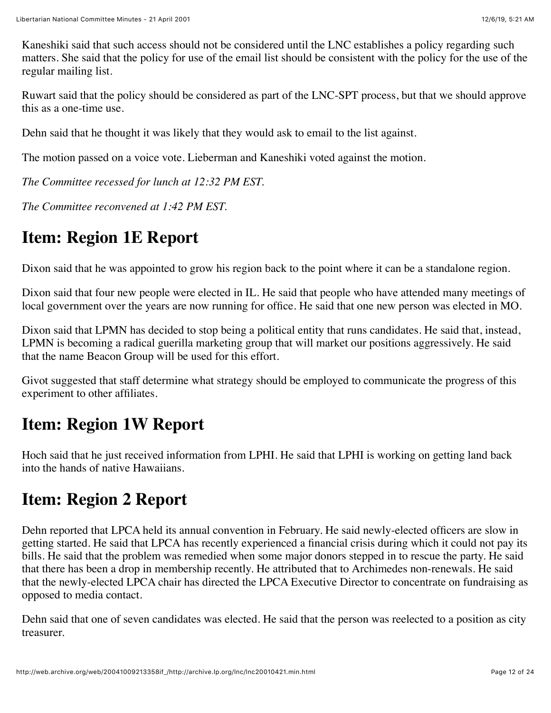Kaneshiki said that such access should not be considered until the LNC establishes a policy regarding such matters. She said that the policy for use of the email list should be consistent with the policy for the use of the regular mailing list.

Ruwart said that the policy should be considered as part of the LNC-SPT process, but that we should approve this as a one-time use.

Dehn said that he thought it was likely that they would ask to email to the list against.

The motion passed on a voice vote. Lieberman and Kaneshiki voted against the motion.

*The Committee recessed for lunch at 12:32 PM EST.*

*The Committee reconvened at 1:42 PM EST.*

## **Item: Region 1E Report**

Dixon said that he was appointed to grow his region back to the point where it can be a standalone region.

Dixon said that four new people were elected in IL. He said that people who have attended many meetings of local government over the years are now running for office. He said that one new person was elected in MO.

Dixon said that LPMN has decided to stop being a political entity that runs candidates. He said that, instead, LPMN is becoming a radical guerilla marketing group that will market our positions aggressively. He said that the name Beacon Group will be used for this effort.

Givot suggested that staff determine what strategy should be employed to communicate the progress of this experiment to other affiliates.

#### **Item: Region 1W Report**

Hoch said that he just received information from LPHI. He said that LPHI is working on getting land back into the hands of native Hawaiians.

#### **Item: Region 2 Report**

Dehn reported that LPCA held its annual convention in February. He said newly-elected officers are slow in getting started. He said that LPCA has recently experienced a financial crisis during which it could not pay its bills. He said that the problem was remedied when some major donors stepped in to rescue the party. He said that there has been a drop in membership recently. He attributed that to Archimedes non-renewals. He said that the newly-elected LPCA chair has directed the LPCA Executive Director to concentrate on fundraising as opposed to media contact.

Dehn said that one of seven candidates was elected. He said that the person was reelected to a position as city treasurer.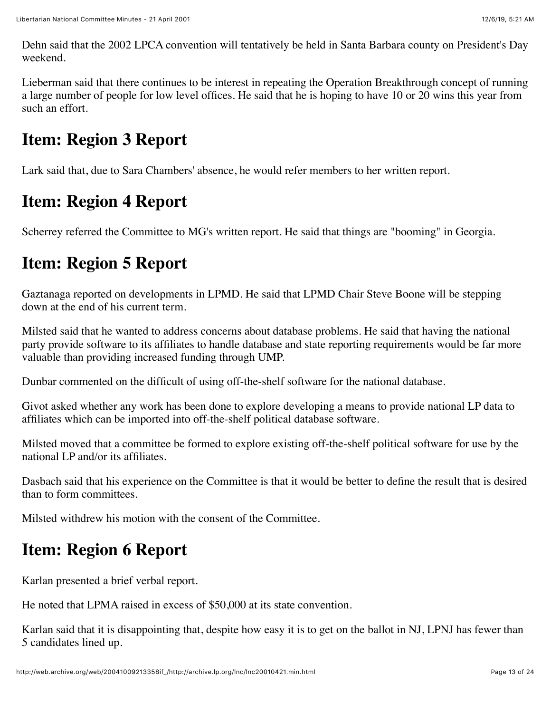Dehn said that the 2002 LPCA convention will tentatively be held in Santa Barbara county on President's Day weekend.

Lieberman said that there continues to be interest in repeating the Operation Breakthrough concept of running a large number of people for low level offices. He said that he is hoping to have 10 or 20 wins this year from such an effort.

#### **Item: Region 3 Report**

Lark said that, due to Sara Chambers' absence, he would refer members to her written report.

## **Item: Region 4 Report**

Scherrey referred the Committee to MG's written report. He said that things are "booming" in Georgia.

## **Item: Region 5 Report**

Gaztanaga reported on developments in LPMD. He said that LPMD Chair Steve Boone will be stepping down at the end of his current term.

Milsted said that he wanted to address concerns about database problems. He said that having the national party provide software to its affiliates to handle database and state reporting requirements would be far more valuable than providing increased funding through UMP.

Dunbar commented on the difficult of using off-the-shelf software for the national database.

Givot asked whether any work has been done to explore developing a means to provide national LP data to affiliates which can be imported into off-the-shelf political database software.

Milsted moved that a committee be formed to explore existing off-the-shelf political software for use by the national LP and/or its affiliates.

Dasbach said that his experience on the Committee is that it would be better to define the result that is desired than to form committees.

Milsted withdrew his motion with the consent of the Committee.

## **Item: Region 6 Report**

Karlan presented a brief verbal report.

He noted that LPMA raised in excess of \$50,000 at its state convention.

Karlan said that it is disappointing that, despite how easy it is to get on the ballot in NJ, LPNJ has fewer than 5 candidates lined up.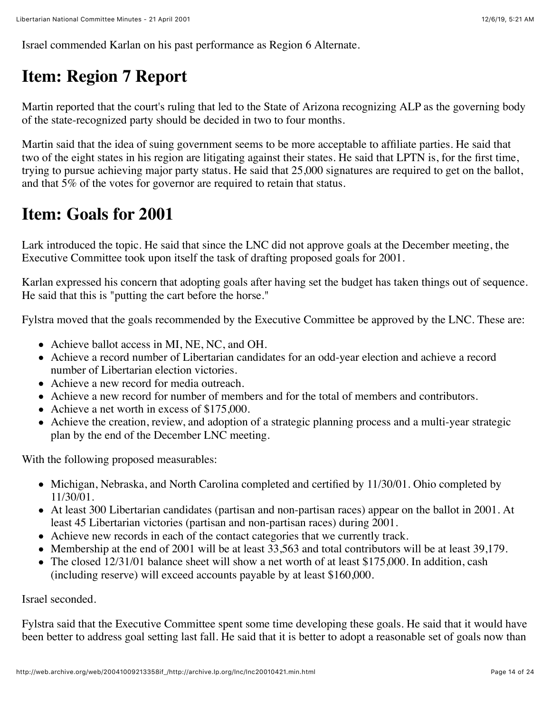Israel commended Karlan on his past performance as Region 6 Alternate.

## **Item: Region 7 Report**

Martin reported that the court's ruling that led to the State of Arizona recognizing ALP as the governing body of the state-recognized party should be decided in two to four months.

Martin said that the idea of suing government seems to be more acceptable to affiliate parties. He said that two of the eight states in his region are litigating against their states. He said that LPTN is, for the first time, trying to pursue achieving major party status. He said that 25,000 signatures are required to get on the ballot, and that 5% of the votes for governor are required to retain that status.

#### **Item: Goals for 2001**

Lark introduced the topic. He said that since the LNC did not approve goals at the December meeting, the Executive Committee took upon itself the task of drafting proposed goals for 2001.

Karlan expressed his concern that adopting goals after having set the budget has taken things out of sequence. He said that this is "putting the cart before the horse."

Fylstra moved that the goals recommended by the Executive Committee be approved by the LNC. These are:

- Achieve ballot access in MI, NE, NC, and OH.
- Achieve a record number of Libertarian candidates for an odd-year election and achieve a record number of Libertarian election victories.
- Achieve a new record for media outreach.
- Achieve a new record for number of members and for the total of members and contributors.
- Achieve a net worth in excess of \$175,000.
- Achieve the creation, review, and adoption of a strategic planning process and a multi-year strategic plan by the end of the December LNC meeting.

With the following proposed measurables:

- Michigan, Nebraska, and North Carolina completed and certified by 11/30/01. Ohio completed by 11/30/01.
- At least 300 Libertarian candidates (partisan and non-partisan races) appear on the ballot in 2001. At least 45 Libertarian victories (partisan and non-partisan races) during 2001.
- Achieve new records in each of the contact categories that we currently track.
- Membership at the end of 2001 will be at least 33,563 and total contributors will be at least 39,179.
- The closed 12/31/01 balance sheet will show a net worth of at least \$175,000. In addition, cash (including reserve) will exceed accounts payable by at least \$160,000.

Israel seconded.

Fylstra said that the Executive Committee spent some time developing these goals. He said that it would have been better to address goal setting last fall. He said that it is better to adopt a reasonable set of goals now than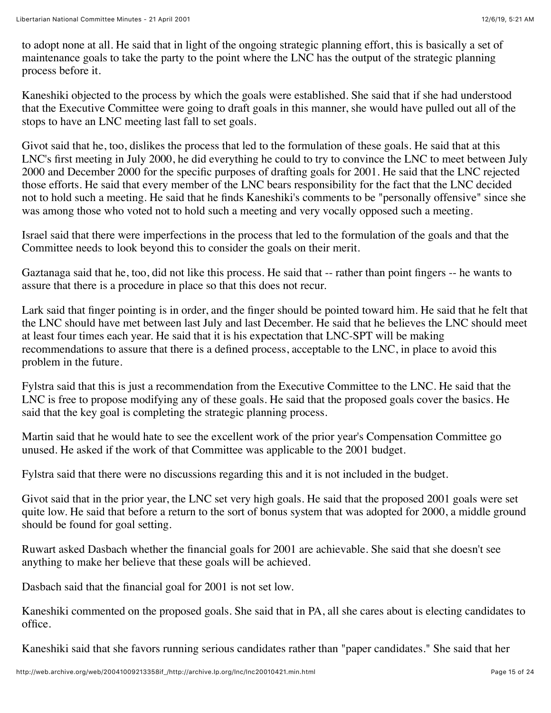to adopt none at all. He said that in light of the ongoing strategic planning effort, this is basically a set of maintenance goals to take the party to the point where the LNC has the output of the strategic planning process before it.

Kaneshiki objected to the process by which the goals were established. She said that if she had understood that the Executive Committee were going to draft goals in this manner, she would have pulled out all of the stops to have an LNC meeting last fall to set goals.

Givot said that he, too, dislikes the process that led to the formulation of these goals. He said that at this LNC's first meeting in July 2000, he did everything he could to try to convince the LNC to meet between July 2000 and December 2000 for the specific purposes of drafting goals for 2001. He said that the LNC rejected those efforts. He said that every member of the LNC bears responsibility for the fact that the LNC decided not to hold such a meeting. He said that he finds Kaneshiki's comments to be "personally offensive" since she was among those who voted not to hold such a meeting and very vocally opposed such a meeting.

Israel said that there were imperfections in the process that led to the formulation of the goals and that the Committee needs to look beyond this to consider the goals on their merit.

Gaztanaga said that he, too, did not like this process. He said that -- rather than point fingers -- he wants to assure that there is a procedure in place so that this does not recur.

Lark said that finger pointing is in order, and the finger should be pointed toward him. He said that he felt that the LNC should have met between last July and last December. He said that he believes the LNC should meet at least four times each year. He said that it is his expectation that LNC-SPT will be making recommendations to assure that there is a defined process, acceptable to the LNC, in place to avoid this problem in the future.

Fylstra said that this is just a recommendation from the Executive Committee to the LNC. He said that the LNC is free to propose modifying any of these goals. He said that the proposed goals cover the basics. He said that the key goal is completing the strategic planning process.

Martin said that he would hate to see the excellent work of the prior year's Compensation Committee go unused. He asked if the work of that Committee was applicable to the 2001 budget.

Fylstra said that there were no discussions regarding this and it is not included in the budget.

Givot said that in the prior year, the LNC set very high goals. He said that the proposed 2001 goals were set quite low. He said that before a return to the sort of bonus system that was adopted for 2000, a middle ground should be found for goal setting.

Ruwart asked Dasbach whether the financial goals for 2001 are achievable. She said that she doesn't see anything to make her believe that these goals will be achieved.

Dasbach said that the financial goal for 2001 is not set low.

Kaneshiki commented on the proposed goals. She said that in PA, all she cares about is electing candidates to office.

Kaneshiki said that she favors running serious candidates rather than "paper candidates." She said that her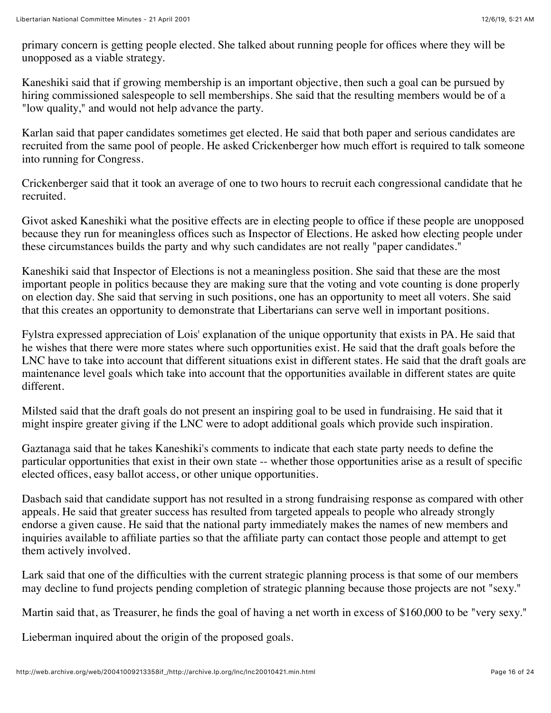primary concern is getting people elected. She talked about running people for offices where they will be unopposed as a viable strategy.

Kaneshiki said that if growing membership is an important objective, then such a goal can be pursued by hiring commissioned salespeople to sell memberships. She said that the resulting members would be of a "low quality," and would not help advance the party.

Karlan said that paper candidates sometimes get elected. He said that both paper and serious candidates are recruited from the same pool of people. He asked Crickenberger how much effort is required to talk someone into running for Congress.

Crickenberger said that it took an average of one to two hours to recruit each congressional candidate that he recruited.

Givot asked Kaneshiki what the positive effects are in electing people to office if these people are unopposed because they run for meaningless offices such as Inspector of Elections. He asked how electing people under these circumstances builds the party and why such candidates are not really "paper candidates."

Kaneshiki said that Inspector of Elections is not a meaningless position. She said that these are the most important people in politics because they are making sure that the voting and vote counting is done properly on election day. She said that serving in such positions, one has an opportunity to meet all voters. She said that this creates an opportunity to demonstrate that Libertarians can serve well in important positions.

Fylstra expressed appreciation of Lois' explanation of the unique opportunity that exists in PA. He said that he wishes that there were more states where such opportunities exist. He said that the draft goals before the LNC have to take into account that different situations exist in different states. He said that the draft goals are maintenance level goals which take into account that the opportunities available in different states are quite different.

Milsted said that the draft goals do not present an inspiring goal to be used in fundraising. He said that it might inspire greater giving if the LNC were to adopt additional goals which provide such inspiration.

Gaztanaga said that he takes Kaneshiki's comments to indicate that each state party needs to define the particular opportunities that exist in their own state -- whether those opportunities arise as a result of specific elected offices, easy ballot access, or other unique opportunities.

Dasbach said that candidate support has not resulted in a strong fundraising response as compared with other appeals. He said that greater success has resulted from targeted appeals to people who already strongly endorse a given cause. He said that the national party immediately makes the names of new members and inquiries available to affiliate parties so that the affiliate party can contact those people and attempt to get them actively involved.

Lark said that one of the difficulties with the current strategic planning process is that some of our members may decline to fund projects pending completion of strategic planning because those projects are not "sexy."

Martin said that, as Treasurer, he finds the goal of having a net worth in excess of \$160,000 to be "very sexy."

Lieberman inquired about the origin of the proposed goals.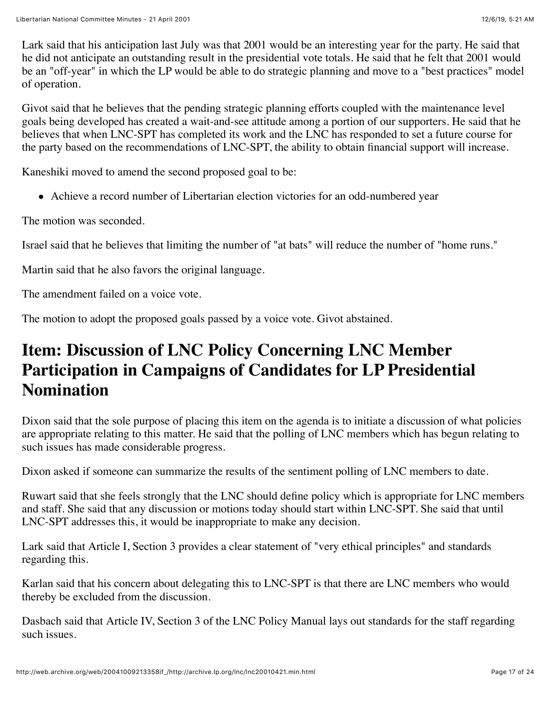Lark said that his anticipation last July was that 2001 would be an interesting year for the party. He said that he did not anticipate an outstanding result in the presidential vote totals. He said that he felt that 2001 would be an "off-year" in which the LP would be able to do strategic planning and move to a "best practices" model of operation.

Givot said that he believes that the pending strategic planning efforts coupled with the maintenance level goals being developed has created a wait-and-see attitude among a portion of our supporters. He said that he believes that when LNC-SPT has completed its work and the LNC has responded to set a future course for the party based on the recommendations of LNC-SPT, the ability to obtain financial support will increase.

Kaneshiki moved to amend the second proposed goal to be:

Achieve a record number of Libertarian election victories for an odd-numbered year

The motion was seconded.

Israel said that he believes that limiting the number of "at bats" will reduce the number of "home runs."

Martin said that he also favors the original language.

The amendment failed on a voice vote.

The motion to adopt the proposed goals passed by a voice vote. Givot abstained.

#### **Item: Discussion of LNC Policy Concerning LNC Member Participation in Campaigns of Candidates for LP Presidential Nomination**

Dixon said that the sole purpose of placing this item on the agenda is to initiate a discussion of what policies are appropriate relating to this matter. He said that the polling of LNC members which has begun relating to such issues has made considerable progress.

Dixon asked if someone can summarize the results of the sentiment polling of LNC members to date.

Ruwart said that she feels strongly that the LNC should define policy which is appropriate for LNC members and staff. She said that any discussion or motions today should start within LNC-SPT. She said that until LNC-SPT addresses this, it would be inappropriate to make any decision.

Lark said that Article I, Section 3 provides a clear statement of "very ethical principles" and standards regarding this.

Karlan said that his concern about delegating this to LNC-SPT is that there are LNC members who would thereby be excluded from the discussion.

Dasbach said that Article IV, Section 3 of the LNC Policy Manual lays out standards for the staff regarding such issues.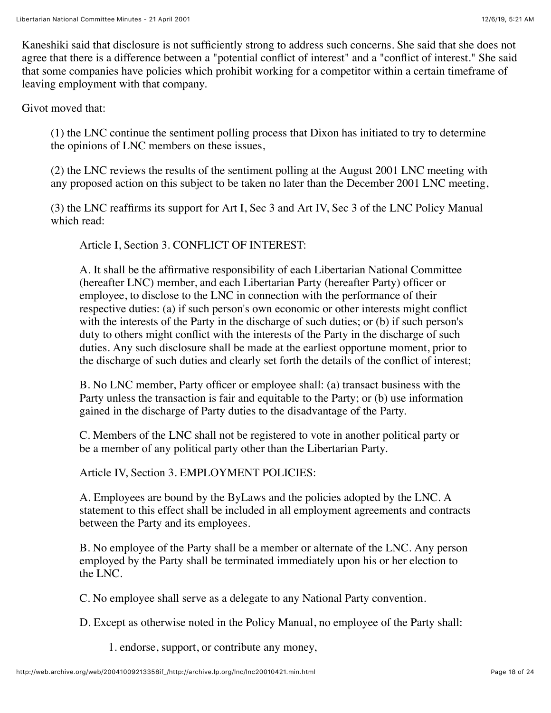Kaneshiki said that disclosure is not sufficiently strong to address such concerns. She said that she does not agree that there is a difference between a "potential conflict of interest" and a "conflict of interest." She said that some companies have policies which prohibit working for a competitor within a certain timeframe of leaving employment with that company.

Givot moved that:

(1) the LNC continue the sentiment polling process that Dixon has initiated to try to determine the opinions of LNC members on these issues,

(2) the LNC reviews the results of the sentiment polling at the August 2001 LNC meeting with any proposed action on this subject to be taken no later than the December 2001 LNC meeting,

(3) the LNC reaffirms its support for Art I, Sec 3 and Art IV, Sec 3 of the LNC Policy Manual which read:

Article I, Section 3. CONFLICT OF INTEREST:

A. It shall be the affirmative responsibility of each Libertarian National Committee (hereafter LNC) member, and each Libertarian Party (hereafter Party) officer or employee, to disclose to the LNC in connection with the performance of their respective duties: (a) if such person's own economic or other interests might conflict with the interests of the Party in the discharge of such duties; or (b) if such person's duty to others might conflict with the interests of the Party in the discharge of such duties. Any such disclosure shall be made at the earliest opportune moment, prior to the discharge of such duties and clearly set forth the details of the conflict of interest;

B. No LNC member, Party officer or employee shall: (a) transact business with the Party unless the transaction is fair and equitable to the Party; or (b) use information gained in the discharge of Party duties to the disadvantage of the Party.

C. Members of the LNC shall not be registered to vote in another political party or be a member of any political party other than the Libertarian Party.

Article IV, Section 3. EMPLOYMENT POLICIES:

A. Employees are bound by the ByLaws and the policies adopted by the LNC. A statement to this effect shall be included in all employment agreements and contracts between the Party and its employees.

B. No employee of the Party shall be a member or alternate of the LNC. Any person employed by the Party shall be terminated immediately upon his or her election to the LNC.

C. No employee shall serve as a delegate to any National Party convention.

D. Except as otherwise noted in the Policy Manual, no employee of the Party shall:

1. endorse, support, or contribute any money,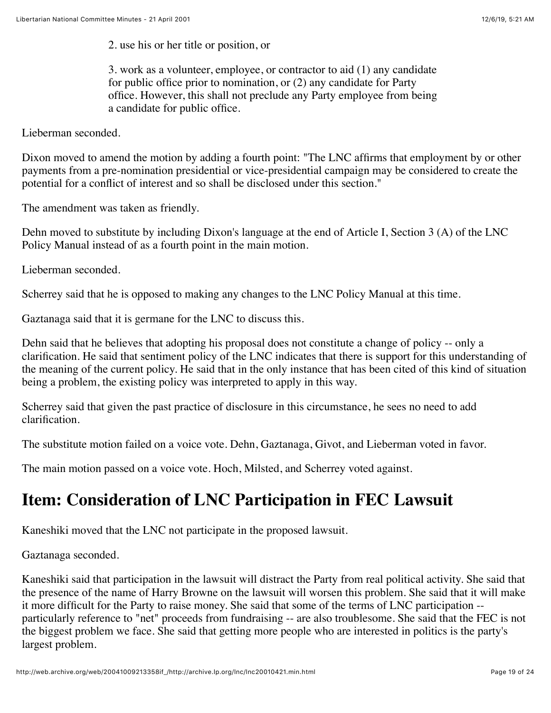2. use his or her title or position, or

3. work as a volunteer, employee, or contractor to aid (1) any candidate for public office prior to nomination, or (2) any candidate for Party office. However, this shall not preclude any Party employee from being a candidate for public office.

Lieberman seconded.

Dixon moved to amend the motion by adding a fourth point: "The LNC affirms that employment by or other payments from a pre-nomination presidential or vice-presidential campaign may be considered to create the potential for a conflict of interest and so shall be disclosed under this section."

The amendment was taken as friendly.

Dehn moved to substitute by including Dixon's language at the end of Article I, Section 3 (A) of the LNC Policy Manual instead of as a fourth point in the main motion.

Lieberman seconded.

Scherrey said that he is opposed to making any changes to the LNC Policy Manual at this time.

Gaztanaga said that it is germane for the LNC to discuss this.

Dehn said that he believes that adopting his proposal does not constitute a change of policy -- only a clarification. He said that sentiment policy of the LNC indicates that there is support for this understanding of the meaning of the current policy. He said that in the only instance that has been cited of this kind of situation being a problem, the existing policy was interpreted to apply in this way.

Scherrey said that given the past practice of disclosure in this circumstance, he sees no need to add clarification.

The substitute motion failed on a voice vote. Dehn, Gaztanaga, Givot, and Lieberman voted in favor.

The main motion passed on a voice vote. Hoch, Milsted, and Scherrey voted against.

## **Item: Consideration of LNC Participation in FEC Lawsuit**

Kaneshiki moved that the LNC not participate in the proposed lawsuit.

Gaztanaga seconded.

Kaneshiki said that participation in the lawsuit will distract the Party from real political activity. She said that the presence of the name of Harry Browne on the lawsuit will worsen this problem. She said that it will make it more difficult for the Party to raise money. She said that some of the terms of LNC participation - particularly reference to "net" proceeds from fundraising -- are also troublesome. She said that the FEC is not the biggest problem we face. She said that getting more people who are interested in politics is the party's largest problem.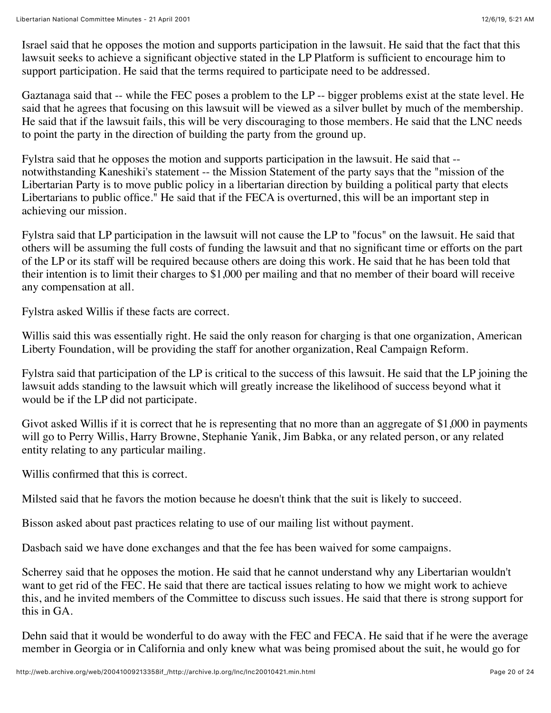Israel said that he opposes the motion and supports participation in the lawsuit. He said that the fact that this lawsuit seeks to achieve a significant objective stated in the LP Platform is sufficient to encourage him to support participation. He said that the terms required to participate need to be addressed.

Gaztanaga said that -- while the FEC poses a problem to the LP -- bigger problems exist at the state level. He said that he agrees that focusing on this lawsuit will be viewed as a silver bullet by much of the membership. He said that if the lawsuit fails, this will be very discouraging to those members. He said that the LNC needs to point the party in the direction of building the party from the ground up.

Fylstra said that he opposes the motion and supports participation in the lawsuit. He said that - notwithstanding Kaneshiki's statement -- the Mission Statement of the party says that the "mission of the Libertarian Party is to move public policy in a libertarian direction by building a political party that elects Libertarians to public office." He said that if the FECA is overturned, this will be an important step in achieving our mission.

Fylstra said that LP participation in the lawsuit will not cause the LP to "focus" on the lawsuit. He said that others will be assuming the full costs of funding the lawsuit and that no significant time or efforts on the part of the LP or its staff will be required because others are doing this work. He said that he has been told that their intention is to limit their charges to \$1,000 per mailing and that no member of their board will receive any compensation at all.

Fylstra asked Willis if these facts are correct.

Willis said this was essentially right. He said the only reason for charging is that one organization, American Liberty Foundation, will be providing the staff for another organization, Real Campaign Reform.

Fylstra said that participation of the LP is critical to the success of this lawsuit. He said that the LP joining the lawsuit adds standing to the lawsuit which will greatly increase the likelihood of success beyond what it would be if the LP did not participate.

Givot asked Willis if it is correct that he is representing that no more than an aggregate of \$1,000 in payments will go to Perry Willis, Harry Browne, Stephanie Yanik, Jim Babka, or any related person, or any related entity relating to any particular mailing.

Willis confirmed that this is correct.

Milsted said that he favors the motion because he doesn't think that the suit is likely to succeed.

Bisson asked about past practices relating to use of our mailing list without payment.

Dasbach said we have done exchanges and that the fee has been waived for some campaigns.

Scherrey said that he opposes the motion. He said that he cannot understand why any Libertarian wouldn't want to get rid of the FEC. He said that there are tactical issues relating to how we might work to achieve this, and he invited members of the Committee to discuss such issues. He said that there is strong support for this in GA.

Dehn said that it would be wonderful to do away with the FEC and FECA. He said that if he were the average member in Georgia or in California and only knew what was being promised about the suit, he would go for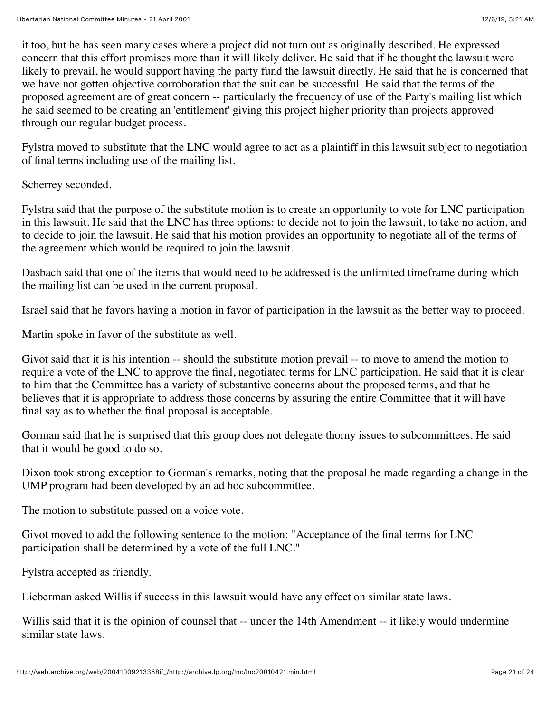it too, but he has seen many cases where a project did not turn out as originally described. He expressed concern that this effort promises more than it will likely deliver. He said that if he thought the lawsuit were likely to prevail, he would support having the party fund the lawsuit directly. He said that he is concerned that we have not gotten objective corroboration that the suit can be successful. He said that the terms of the proposed agreement are of great concern -- particularly the frequency of use of the Party's mailing list which he said seemed to be creating an 'entitlement' giving this project higher priority than projects approved through our regular budget process.

Fylstra moved to substitute that the LNC would agree to act as a plaintiff in this lawsuit subject to negotiation of final terms including use of the mailing list.

Scherrey seconded.

Fylstra said that the purpose of the substitute motion is to create an opportunity to vote for LNC participation in this lawsuit. He said that the LNC has three options: to decide not to join the lawsuit, to take no action, and to decide to join the lawsuit. He said that his motion provides an opportunity to negotiate all of the terms of the agreement which would be required to join the lawsuit.

Dasbach said that one of the items that would need to be addressed is the unlimited timeframe during which the mailing list can be used in the current proposal.

Israel said that he favors having a motion in favor of participation in the lawsuit as the better way to proceed.

Martin spoke in favor of the substitute as well.

Givot said that it is his intention -- should the substitute motion prevail -- to move to amend the motion to require a vote of the LNC to approve the final, negotiated terms for LNC participation. He said that it is clear to him that the Committee has a variety of substantive concerns about the proposed terms, and that he believes that it is appropriate to address those concerns by assuring the entire Committee that it will have final say as to whether the final proposal is acceptable.

Gorman said that he is surprised that this group does not delegate thorny issues to subcommittees. He said that it would be good to do so.

Dixon took strong exception to Gorman's remarks, noting that the proposal he made regarding a change in the UMP program had been developed by an ad hoc subcommittee.

The motion to substitute passed on a voice vote.

Givot moved to add the following sentence to the motion: "Acceptance of the final terms for LNC participation shall be determined by a vote of the full LNC."

Fylstra accepted as friendly.

Lieberman asked Willis if success in this lawsuit would have any effect on similar state laws.

Willis said that it is the opinion of counsel that -- under the 14th Amendment -- it likely would undermine similar state laws.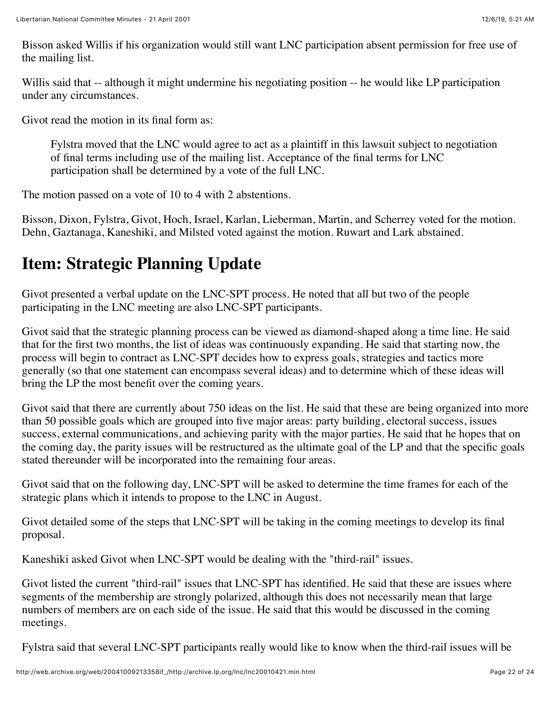Bisson asked Willis if his organization would still want LNC participation absent permission for free use of the mailing list.

Willis said that -- although it might undermine his negotiating position -- he would like LP participation under any circumstances.

Givot read the motion in its final form as:

Fylstra moved that the LNC would agree to act as a plaintiff in this lawsuit subject to negotiation of final terms including use of the mailing list. Acceptance of the final terms for LNC participation shall be determined by a vote of the full LNC.

The motion passed on a vote of 10 to 4 with 2 abstentions.

Bisson, Dixon, Fylstra, Givot, Hoch, Israel, Karlan, Lieberman, Martin, and Scherrey voted for the motion. Dehn, Gaztanaga, Kaneshiki, and Milsted voted against the motion. Ruwart and Lark abstained.

## **Item: Strategic Planning Update**

Givot presented a verbal update on the LNC-SPT process. He noted that all but two of the people participating in the LNC meeting are also LNC-SPT participants.

Givot said that the strategic planning process can be viewed as diamond-shaped along a time line. He said that for the first two months, the list of ideas was continuously expanding. He said that starting now, the process will begin to contract as LNC-SPT decides how to express goals, strategies and tactics more generally (so that one statement can encompass several ideas) and to determine which of these ideas will bring the LP the most benefit over the coming years.

Givot said that there are currently about 750 ideas on the list. He said that these are being organized into more than 50 possible goals which are grouped into five major areas: party building, electoral success, issues success, external communications, and achieving parity with the major parties. He said that he hopes that on the coming day, the parity issues will be restructured as the ultimate goal of the LP and that the specific goals stated thereunder will be incorporated into the remaining four areas.

Givot said that on the following day, LNC-SPT will be asked to determine the time frames for each of the strategic plans which it intends to propose to the LNC in August.

Givot detailed some of the steps that LNC-SPT will be taking in the coming meetings to develop its final proposal.

Kaneshiki asked Givot when LNC-SPT would be dealing with the "third-rail" issues.

Givot listed the current "third-rail" issues that LNC-SPT has identified. He said that these are issues where segments of the membership are strongly polarized, although this does not necessarily mean that large numbers of members are on each side of the issue. He said that this would be discussed in the coming meetings.

Fylstra said that several LNC-SPT participants really would like to know when the third-rail issues will be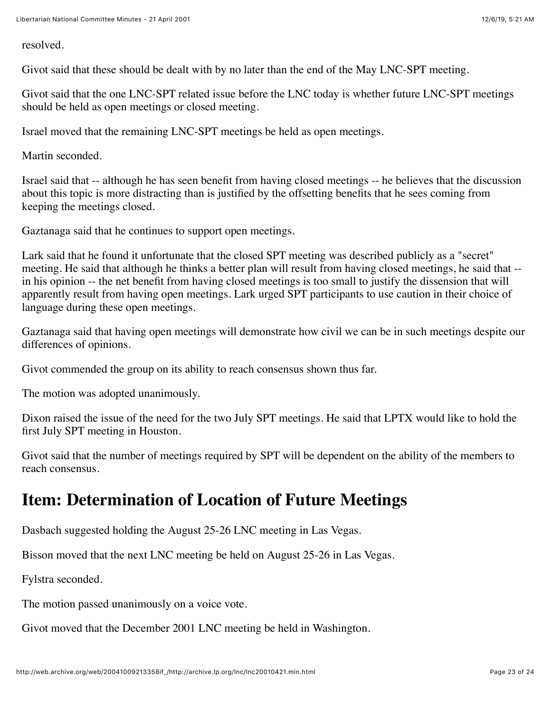resolved.

Givot said that these should be dealt with by no later than the end of the May LNC-SPT meeting.

Givot said that the one LNC-SPT related issue before the LNC today is whether future LNC-SPT meetings should be held as open meetings or closed meeting.

Israel moved that the remaining LNC-SPT meetings be held as open meetings.

Martin seconded.

Israel said that -- although he has seen benefit from having closed meetings -- he believes that the discussion about this topic is more distracting than is justified by the offsetting benefits that he sees coming from keeping the meetings closed.

Gaztanaga said that he continues to support open meetings.

Lark said that he found it unfortunate that the closed SPT meeting was described publicly as a "secret" meeting. He said that although he thinks a better plan will result from having closed meetings, he said that - in his opinion -- the net benefit from having closed meetings is too small to justify the dissension that will apparently result from having open meetings. Lark urged SPT participants to use caution in their choice of language during these open meetings.

Gaztanaga said that having open meetings will demonstrate how civil we can be in such meetings despite our differences of opinions.

Givot commended the group on its ability to reach consensus shown thus far.

The motion was adopted unanimously.

Dixon raised the issue of the need for the two July SPT meetings. He said that LPTX would like to hold the first July SPT meeting in Houston.

Givot said that the number of meetings required by SPT will be dependent on the ability of the members to reach consensus.

#### **Item: Determination of Location of Future Meetings**

Dasbach suggested holding the August 25-26 LNC meeting in Las Vegas.

Bisson moved that the next LNC meeting be held on August 25-26 in Las Vegas.

Fylstra seconded.

The motion passed unanimously on a voice vote.

Givot moved that the December 2001 LNC meeting be held in Washington.